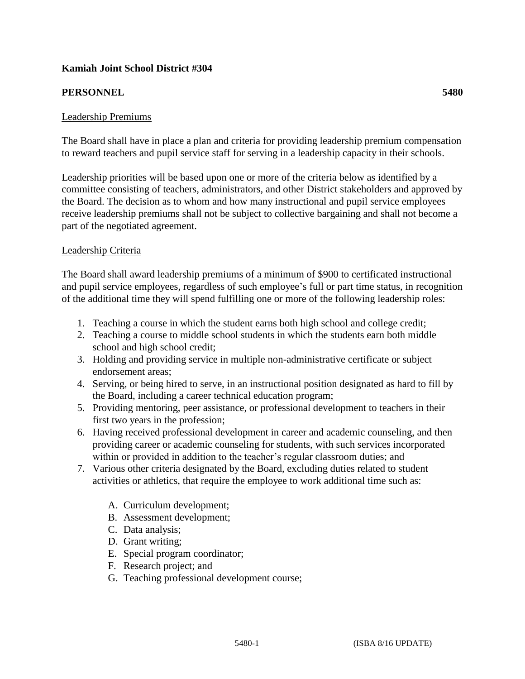# **Kamiah Joint School District #304**

# **PERSONNEL 5480**

## Leadership Premiums

The Board shall have in place a plan and criteria for providing leadership premium compensation to reward teachers and pupil service staff for serving in a leadership capacity in their schools.

Leadership priorities will be based upon one or more of the criteria below as identified by a committee consisting of teachers, administrators, and other District stakeholders and approved by the Board. The decision as to whom and how many instructional and pupil service employees receive leadership premiums shall not be subject to collective bargaining and shall not become a part of the negotiated agreement.

### Leadership Criteria

The Board shall award leadership premiums of a minimum of \$900 to certificated instructional and pupil service employees, regardless of such employee's full or part time status, in recognition of the additional time they will spend fulfilling one or more of the following leadership roles:

- 1. Teaching a course in which the student earns both high school and college credit;
- 2. Teaching a course to middle school students in which the students earn both middle school and high school credit;
- 3. Holding and providing service in multiple non-administrative certificate or subject endorsement areas;
- 4. Serving, or being hired to serve, in an instructional position designated as hard to fill by the Board, including a career technical education program;
- 5. Providing mentoring, peer assistance, or professional development to teachers in their first two years in the profession;
- 6. Having received professional development in career and academic counseling, and then providing career or academic counseling for students, with such services incorporated within or provided in addition to the teacher's regular classroom duties; and
- 7. Various other criteria designated by the Board, excluding duties related to student activities or athletics, that require the employee to work additional time such as:
	- A. Curriculum development;
	- B. Assessment development;
	- C. Data analysis;
	- D. Grant writing;
	- E. Special program coordinator;
	- F. Research project; and
	- G. Teaching professional development course;